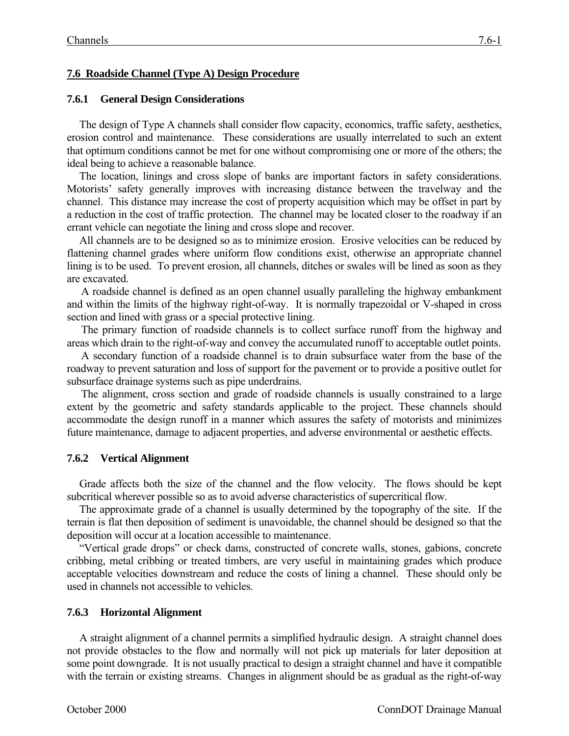# **7.6 Roadside Channel (Type A) Design Procedure**

## **7.6.1 General Design Considerations**

The design of Type A channels shall consider flow capacity, economics, traffic safety, aesthetics, erosion control and maintenance. These considerations are usually interrelated to such an extent that optimum conditions cannot be met for one without compromising one or more of the others; the ideal being to achieve a reasonable balance.

The location, linings and cross slope of banks are important factors in safety considerations. Motorists' safety generally improves with increasing distance between the travelway and the channel. This distance may increase the cost of property acquisition which may be offset in part by a reduction in the cost of traffic protection. The channel may be located closer to the roadway if an errant vehicle can negotiate the lining and cross slope and recover.

All channels are to be designed so as to minimize erosion. Erosive velocities can be reduced by flattening channel grades where uniform flow conditions exist, otherwise an appropriate channel lining is to be used. To prevent erosion, all channels, ditches or swales will be lined as soon as they are excavated.

A roadside channel is defined as an open channel usually paralleling the highway embankment and within the limits of the highway right-of-way. It is normally trapezoidal or V-shaped in cross section and lined with grass or a special protective lining.

The primary function of roadside channels is to collect surface runoff from the highway and areas which drain to the right-of-way and convey the accumulated runoff to acceptable outlet points.

A secondary function of a roadside channel is to drain subsurface water from the base of the roadway to prevent saturation and loss of support for the pavement or to provide a positive outlet for subsurface drainage systems such as pipe underdrains.

The alignment, cross section and grade of roadside channels is usually constrained to a large extent by the geometric and safety standards applicable to the project. These channels should accommodate the design runoff in a manner which assures the safety of motorists and minimizes future maintenance, damage to adjacent properties, and adverse environmental or aesthetic effects.

## **7.6.2 Vertical Alignment**

Grade affects both the size of the channel and the flow velocity. The flows should be kept subcritical wherever possible so as to avoid adverse characteristics of supercritical flow.

The approximate grade of a channel is usually determined by the topography of the site. If the terrain is flat then deposition of sediment is unavoidable, the channel should be designed so that the deposition will occur at a location accessible to maintenance.

"Vertical grade drops" or check dams, constructed of concrete walls, stones, gabions, concrete cribbing, metal cribbing or treated timbers, are very useful in maintaining grades which produce acceptable velocities downstream and reduce the costs of lining a channel. These should only be used in channels not accessible to vehicles.

## **7.6.3 Horizontal Alignment**

A straight alignment of a channel permits a simplified hydraulic design. A straight channel does not provide obstacles to the flow and normally will not pick up materials for later deposition at some point downgrade. It is not usually practical to design a straight channel and have it compatible with the terrain or existing streams. Changes in alignment should be as gradual as the right-of-way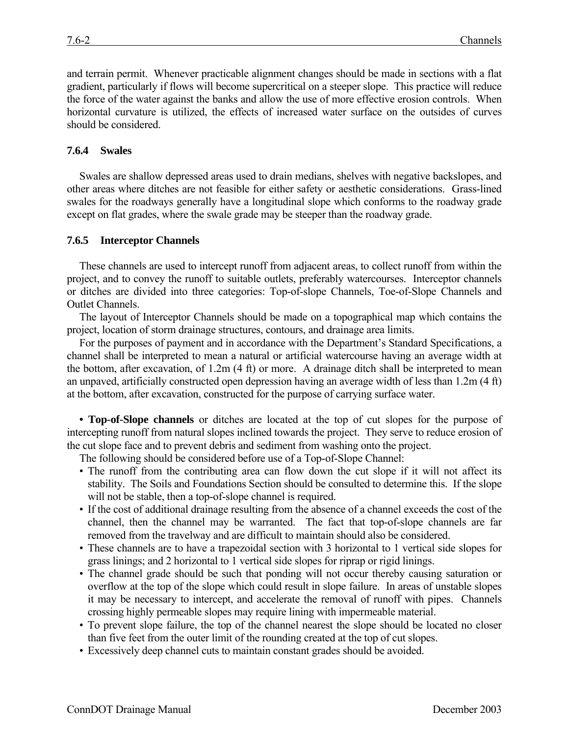and terrain permit. Whenever practicable alignment changes should be made in sections with a flat gradient, particularly if flows will become supercritical on a steeper slope. This practice will reduce the force of the water against the banks and allow the use of more effective erosion controls. When horizontal curvature is utilized, the effects of increased water surface on the outsides of curves should be considered.

#### **7.6.4 Swales**

Swales are shallow depressed areas used to drain medians, shelves with negative backslopes, and other areas where ditches are not feasible for either safety or aesthetic considerations. Grass-lined swales for the roadways generally have a longitudinal slope which conforms to the roadway grade except on flat grades, where the swale grade may be steeper than the roadway grade.

#### **7.6.5 Interceptor Channels**

These channels are used to intercept runoff from adjacent areas, to collect runoff from within the project, and to convey the runoff to suitable outlets, preferably watercourses. Interceptor channels or ditches are divided into three categories: Top-of-slope Channels, Toe-of-Slope Channels and Outlet Channels.

The layout of Interceptor Channels should be made on a topographical map which contains the project, location of storm drainage structures, contours, and drainage area limits.

For the purposes of payment and in accordance with the Department's Standard Specifications, a channel shall be interpreted to mean a natural or artificial watercourse having an average width at the bottom, after excavation, of 1.2m (4 ft) or more. A drainage ditch shall be interpreted to mean an unpaved, artificially constructed open depression having an average width of less than 1.2m (4 ft) at the bottom, after excavation, constructed for the purpose of carrying surface water.

**• Top-of-Slope channels** or ditches are located at the top of cut slopes for the purpose of intercepting runoff from natural slopes inclined towards the project. They serve to reduce erosion of the cut slope face and to prevent debris and sediment from washing onto the project.

The following should be considered before use of a Top-of-Slope Channel:

- The runoff from the contributing area can flow down the cut slope if it will not affect its stability. The Soils and Foundations Section should be consulted to determine this. If the slope will not be stable, then a top-of-slope channel is required.
- If the cost of additional drainage resulting from the absence of a channel exceeds the cost of the channel, then the channel may be warranted. The fact that top-of-slope channels are far removed from the travelway and are difficult to maintain should also be considered.
- These channels are to have a trapezoidal section with 3 horizontal to 1 vertical side slopes for grass linings; and 2 horizontal to 1 vertical side slopes for riprap or rigid linings.
- The channel grade should be such that ponding will not occur thereby causing saturation or overflow at the top of the slope which could result in slope failure. In areas of unstable slopes it may be necessary to intercept, and accelerate the removal of runoff with pipes. Channels crossing highly permeable slopes may require lining with impermeable material.
- To prevent slope failure, the top of the channel nearest the slope should be located no closer than five feet from the outer limit of the rounding created at the top of cut slopes.
- Excessively deep channel cuts to maintain constant grades should be avoided.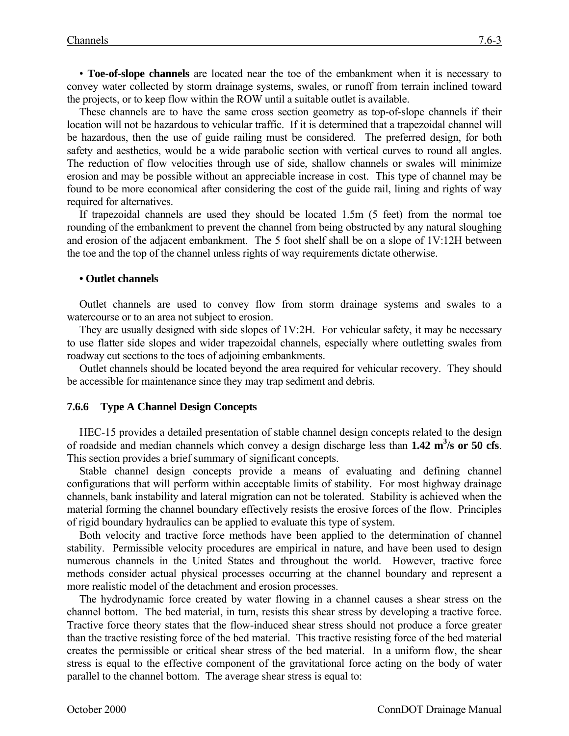• **Toe-of-slope channels** are located near the toe of the embankment when it is necessary to convey water collected by storm drainage systems, swales, or runoff from terrain inclined toward the projects, or to keep flow within the ROW until a suitable outlet is available.

These channels are to have the same cross section geometry as top-of-slope channels if their location will not be hazardous to vehicular traffic. If it is determined that a trapezoidal channel will be hazardous, then the use of guide railing must be considered. The preferred design, for both safety and aesthetics, would be a wide parabolic section with vertical curves to round all angles. The reduction of flow velocities through use of side, shallow channels or swales will minimize erosion and may be possible without an appreciable increase in cost. This type of channel may be found to be more economical after considering the cost of the guide rail, lining and rights of way required for alternatives.

If trapezoidal channels are used they should be located 1.5m (5 feet) from the normal toe rounding of the embankment to prevent the channel from being obstructed by any natural sloughing and erosion of the adjacent embankment. The 5 foot shelf shall be on a slope of 1V:12H between the toe and the top of the channel unless rights of way requirements dictate otherwise.

#### **• Outlet channels**

Outlet channels are used to convey flow from storm drainage systems and swales to a watercourse or to an area not subject to erosion.

They are usually designed with side slopes of 1V:2H. For vehicular safety, it may be necessary to use flatter side slopes and wider trapezoidal channels, especially where outletting swales from roadway cut sections to the toes of adjoining embankments.

Outlet channels should be located beyond the area required for vehicular recovery. They should be accessible for maintenance since they may trap sediment and debris.

#### **7.6.6 Type A Channel Design Concepts**

HEC-15 provides a detailed presentation of stable channel design concepts related to the design of roadside and median channels which convey a design discharge less than 1.42 m<sup>3</sup>/s or 50 cfs. This section provides a brief summary of significant concepts.

Stable channel design concepts provide a means of evaluating and defining channel configurations that will perform within acceptable limits of stability. For most highway drainage channels, bank instability and lateral migration can not be tolerated. Stability is achieved when the material forming the channel boundary effectively resists the erosive forces of the flow. Principles of rigid boundary hydraulics can be applied to evaluate this type of system.

Both velocity and tractive force methods have been applied to the determination of channel stability. Permissible velocity procedures are empirical in nature, and have been used to design numerous channels in the United States and throughout the world. However, tractive force methods consider actual physical processes occurring at the channel boundary and represent a more realistic model of the detachment and erosion processes.

The hydrodynamic force created by water flowing in a channel causes a shear stress on the channel bottom. The bed material, in turn, resists this shear stress by developing a tractive force. Tractive force theory states that the flow-induced shear stress should not produce a force greater than the tractive resisting force of the bed material. This tractive resisting force of the bed material creates the permissible or critical shear stress of the bed material. In a uniform flow, the shear stress is equal to the effective component of the gravitational force acting on the body of water parallel to the channel bottom. The average shear stress is equal to: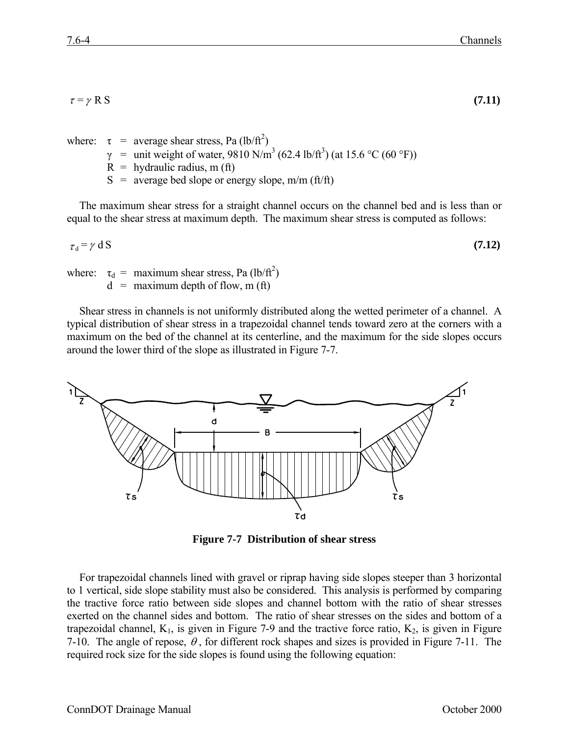$\tau = \gamma \text{ R } \text{S}$  (7.11)

where:  $\tau$  = average shear stress, Pa (lb/ft<sup>2</sup>)

- $γ =$  unit weight of water, 9810 N/m<sup>3</sup> (62.4 lb/ft<sup>3</sup>) (at 15.6 °C (60 °F))
- $R =$  hydraulic radius, m (ft)
- $S =$  average bed slope or energy slope, m/m (ft/ft)

The maximum shear stress for a straight channel occurs on the channel bed and is less than or equal to the shear stress at maximum depth. The maximum shear stress is computed as follows:

$$
\tau_{\rm d} = \gamma \, \rm d \, S \tag{7.12}
$$

where:  $\tau_d$  = maximum shear stress, Pa (lb/ft<sup>2</sup>)  $d =$  maximum depth of flow, m (ft)

Shear stress in channels is not uniformly distributed along the wetted perimeter of a channel. A typical distribution of shear stress in a trapezoidal channel tends toward zero at the corners with a maximum on the bed of the channel at its centerline, and the maximum for the side slopes occurs around the lower third of the slope as illustrated in Figure 7-7.



**Figure 7-7 Distribution of shear stress**

For trapezoidal channels lined with gravel or riprap having side slopes steeper than 3 horizontal to 1 vertical, side slope stability must also be considered. This analysis is performed by comparing the tractive force ratio between side slopes and channel bottom with the ratio of shear stresses exerted on the channel sides and bottom. The ratio of shear stresses on the sides and bottom of a trapezoidal channel,  $K_1$ , is given in Figure 7-9 and the tractive force ratio,  $K_2$ , is given in Figure 7-10. The angle of repose,  $\theta$ , for different rock shapes and sizes is provided in Figure 7-11. The required rock size for the side slopes is found using the following equation: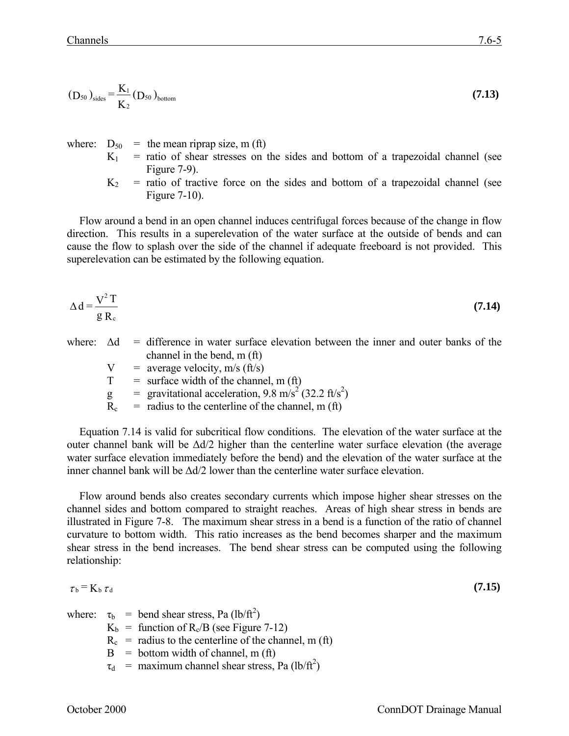$$
(D_{50})_{\text{sides}} = \frac{K_1}{K_2} (D_{50})_{\text{bottom}} \tag{7.13}
$$

where:  $D_{50}$  = the mean riprap size, m (ft)

- $K_1$  = ratio of shear stresses on the sides and bottom of a trapezoidal channel (see Figure 7-9).
- $K_2$  = ratio of tractive force on the sides and bottom of a trapezoidal channel (see Figure 7-10).

Flow around a bend in an open channel induces centrifugal forces because of the change in flow direction. This results in a superelevation of the water surface at the outside of bends and can cause the flow to splash over the side of the channel if adequate freeboard is not provided. This superelevation can be estimated by the following equation.

$$
\Delta d = \frac{V^2 T}{g R_c}
$$
 (7.14)

- where:  $\Delta d$  = difference in water surface elevation between the inner and outer banks of the channel in the bend, m (ft)
	- $V = average velocity, m/s (ft/s)$
	- $T =$  surface width of the channel, m (ft)
	- g = gravitational acceleration,  $9.8 \text{ m/s}^2 (32.2 \text{ ft/s}^2)$
	- $\widetilde{R}_c$  = radius to the centerline of the channel, m (ft)

Equation 7.14 is valid for subcritical flow conditions. The elevation of the water surface at the outer channel bank will be ∆d/2 higher than the centerline water surface elevation (the average water surface elevation immediately before the bend) and the elevation of the water surface at the inner channel bank will be ∆d/2 lower than the centerline water surface elevation.

Flow around bends also creates secondary currents which impose higher shear stresses on the channel sides and bottom compared to straight reaches. Areas of high shear stress in bends are illustrated in Figure 7-8. The maximum shear stress in a bend is a function of the ratio of channel curvature to bottom width. This ratio increases as the bend becomes sharper and the maximum shear stress in the bend increases. The bend shear stress can be computed using the following relationship:

$$
\tau_{\rm b} = K_{\rm b} \,\tau_{\rm d} \tag{7.15}
$$

where:  $\tau_b$  = bend shear stress, Pa (lb/ft<sup>2</sup>)

- $K_b$  = function of  $R_c/B$  (see Figure 7-12)
- $R_c$  = radius to the centerline of the channel, m (ft)
- $B = bottom width of channel, m (ft)$
- $\tau_{d}$  = maximum channel shear stress, Pa (lb/ft<sup>2</sup>)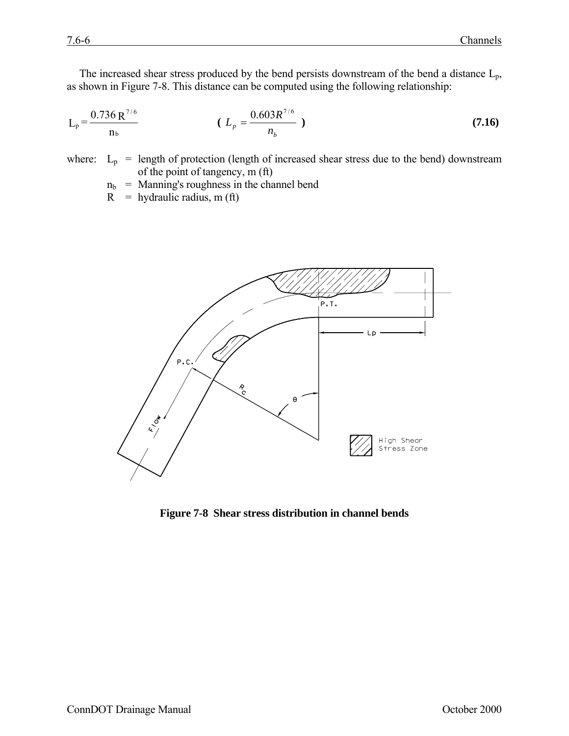The increased shear stress produced by the bend persists downstream of the bend a distance  $L_p$ , as shown in Figure 7-8. This distance can be computed using the following relationship:

$$
L_p = \frac{0.736 \, R^{7/6}}{n_b} \qquad (L_p = \frac{0.603 R^{7/6}}{n_b}) \qquad (7.16)
$$

where:  $L_p$  = length of protection (length of increased shear stress due to the bend) downstream of the point of tangency, m (ft)

$$
n_b
$$
 = Manning's roughness in the channel bend

 $R$  = hydraulic radius, m (ft)



**Figure 7-8 Shear stress distribution in channel bends**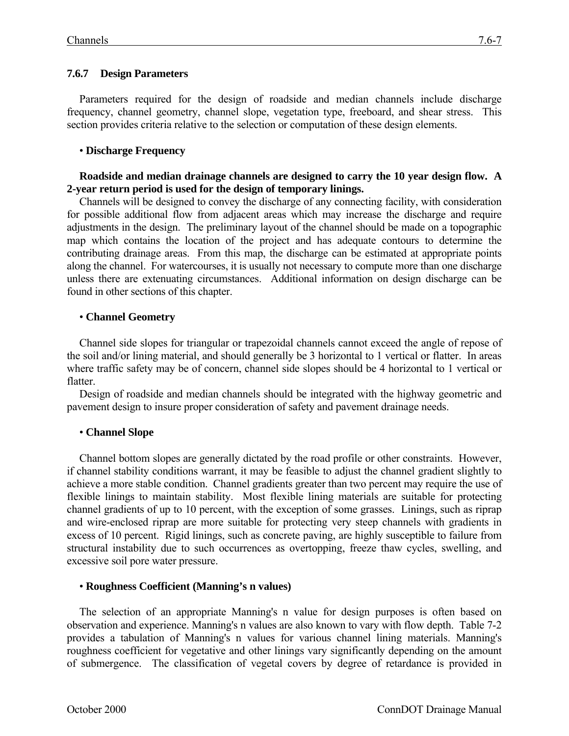## **7.6.7 Design Parameters**

Parameters required for the design of roadside and median channels include discharge frequency, channel geometry, channel slope, vegetation type, freeboard, and shear stress. This section provides criteria relative to the selection or computation of these design elements.

# • **Discharge Frequency**

#### **Roadside and median drainage channels are designed to carry the 10 year design flow. A 2-year return period is used for the design of temporary linings.**

Channels will be designed to convey the discharge of any connecting facility, with consideration for possible additional flow from adjacent areas which may increase the discharge and require adjustments in the design. The preliminary layout of the channel should be made on a topographic map which contains the location of the project and has adequate contours to determine the contributing drainage areas. From this map, the discharge can be estimated at appropriate points along the channel. For watercourses, it is usually not necessary to compute more than one discharge unless there are extenuating circumstances. Additional information on design discharge can be found in other sections of this chapter.

## • **Channel Geometry**

Channel side slopes for triangular or trapezoidal channels cannot exceed the angle of repose of the soil and/or lining material, and should generally be 3 horizontal to 1 vertical or flatter. In areas where traffic safety may be of concern, channel side slopes should be 4 horizontal to 1 vertical or flatter.

Design of roadside and median channels should be integrated with the highway geometric and pavement design to insure proper consideration of safety and pavement drainage needs.

## • **Channel Slope**

Channel bottom slopes are generally dictated by the road profile or other constraints. However, if channel stability conditions warrant, it may be feasible to adjust the channel gradient slightly to achieve a more stable condition. Channel gradients greater than two percent may require the use of flexible linings to maintain stability. Most flexible lining materials are suitable for protecting channel gradients of up to 10 percent, with the exception of some grasses. Linings, such as riprap and wire-enclosed riprap are more suitable for protecting very steep channels with gradients in excess of 10 percent. Rigid linings, such as concrete paving, are highly susceptible to failure from structural instability due to such occurrences as overtopping, freeze thaw cycles, swelling, and excessive soil pore water pressure.

## • **Roughness Coefficient (Manning's n values)**

The selection of an appropriate Manning's n value for design purposes is often based on observation and experience. Manning's n values are also known to vary with flow depth. Table 7-2 provides a tabulation of Manning's n values for various channel lining materials. Manning's roughness coefficient for vegetative and other linings vary significantly depending on the amount of submergence. The classification of vegetal covers by degree of retardance is provided in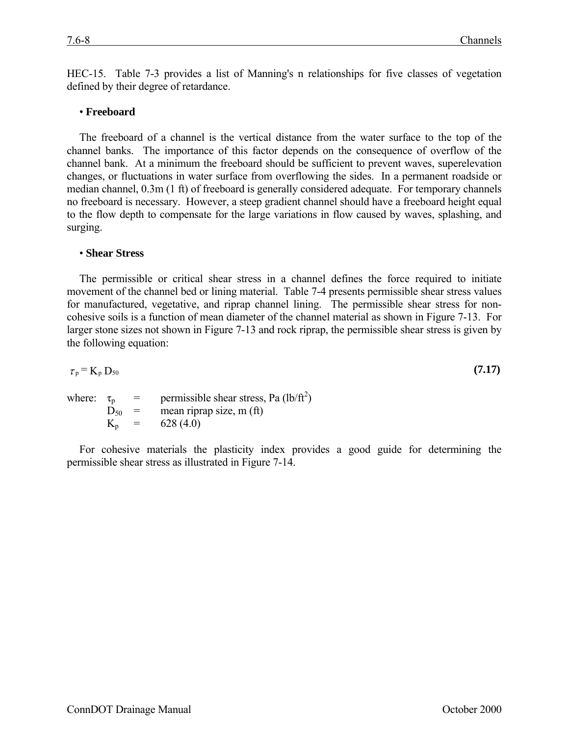HEC-15. Table 7-3 provides a list of Manning's n relationships for five classes of vegetation defined by their degree of retardance.

#### • **Freeboard**

The freeboard of a channel is the vertical distance from the water surface to the top of the channel banks. The importance of this factor depends on the consequence of overflow of the channel bank. At a minimum the freeboard should be sufficient to prevent waves, superelevation changes, or fluctuations in water surface from overflowing the sides. In a permanent roadside or median channel, 0.3m (1 ft) of freeboard is generally considered adequate. For temporary channels no freeboard is necessary. However, a steep gradient channel should have a freeboard height equal to the flow depth to compensate for the large variations in flow caused by waves, splashing, and surging.

#### • **Shear Stress**

The permissible or critical shear stress in a channel defines the force required to initiate movement of the channel bed or lining material. Table 7-4 presents permissible shear stress values for manufactured, vegetative, and riprap channel lining. The permissible shear stress for noncohesive soils is a function of mean diameter of the channel material as shown in Figure 7-13. For larger stone sizes not shown in Figure 7-13 and rock riprap, the permissible shear stress is given by the following equation:

$$
\tau_{\rm p} = \mathrm{K}_{\rm p} \, \mathrm{D}_{50} \tag{7.17}
$$

where:  $\tau_p$  = permissible shear stress, Pa (lb/ft<sup>2</sup>)  $D_{50}$  = mean riprap size, m (ft)  $K_p = 628 (4.0)$ 

For cohesive materials the plasticity index provides a good guide for determining the permissible shear stress as illustrated in Figure 7-14.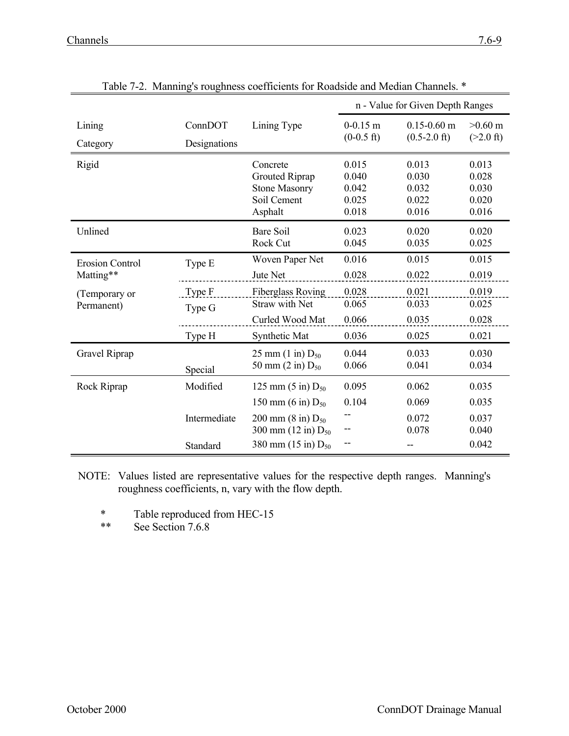|                                     |                         |                                                                                     | n - Value for Given Depth Ranges          |                                           |                                           |
|-------------------------------------|-------------------------|-------------------------------------------------------------------------------------|-------------------------------------------|-------------------------------------------|-------------------------------------------|
| Lining<br>Category                  | ConnDOT<br>Designations | Lining Type                                                                         | $0-0.15$ m<br>$(0-0.5)$ ft)               | $0.15 - 0.60$ m<br>$(0.5-2.0 \text{ ft})$ | $>0.60$ m<br>$(>2.0 \text{ ft})$          |
| Rigid                               |                         | Concrete<br><b>Grouted Riprap</b><br><b>Stone Masonry</b><br>Soil Cement<br>Asphalt | 0.015<br>0.040<br>0.042<br>0.025<br>0.018 | 0.013<br>0.030<br>0.032<br>0.022<br>0.016 | 0.013<br>0.028<br>0.030<br>0.020<br>0.016 |
| Unlined                             |                         | <b>Bare Soil</b><br>Rock Cut                                                        | 0.023<br>0.045                            | 0.020<br>0.035                            | 0.020<br>0.025                            |
| <b>Erosion Control</b><br>Matting** | Type E                  | Woven Paper Net<br>Jute Net                                                         | 0.016<br>0.028                            | 0.015<br>0.022                            | 0.015<br>0.019                            |
| (Temporary or<br>Permanent)         | Type F<br>Type G        | Fiberglass Roving<br><b>Straw with Net</b><br>Curled Wood Mat                       | 0.028<br>0.065<br>0.066                   | 0.021<br>0.033<br>0.035                   | 0.019<br>0.025<br>0.028                   |
|                                     | Type H                  | Synthetic Mat                                                                       | 0.036                                     | 0.025                                     | 0.021                                     |
| Gravel Riprap                       | Special                 | 25 mm $(1 \text{ in}) D_{50}$<br>50 mm $(2 \text{ in}) D_{50}$                      | 0.044<br>0.066                            | 0.033<br>0.041                            | 0.030<br>0.034                            |
| Rock Riprap                         | Modified                | 125 mm $(5 \text{ in}) D_{50}$<br>150 mm (6 in) $D_{50}$                            | 0.095<br>0.104                            | 0.062<br>0.069                            | 0.035<br>0.035                            |
|                                     | Intermediate            | 200 mm $(8 \text{ in}) D_{50}$<br>300 mm $(12 \text{ in}) D_{50}$                   |                                           | 0.072<br>0.078                            | 0.037<br>0.040                            |
|                                     | Standard                | 380 mm $(15 \text{ in}) D_{50}$                                                     |                                           | --                                        | 0.042                                     |

Table 7-2. Manning's roughness coefficients for Roadside and Median Channels. \*

- NOTE: Values listed are representative values for the respective depth ranges. Manning's roughness coefficients, n, vary with the flow depth.
	- \* Table reproduced from HEC-15

\*\* See Section 7.6.8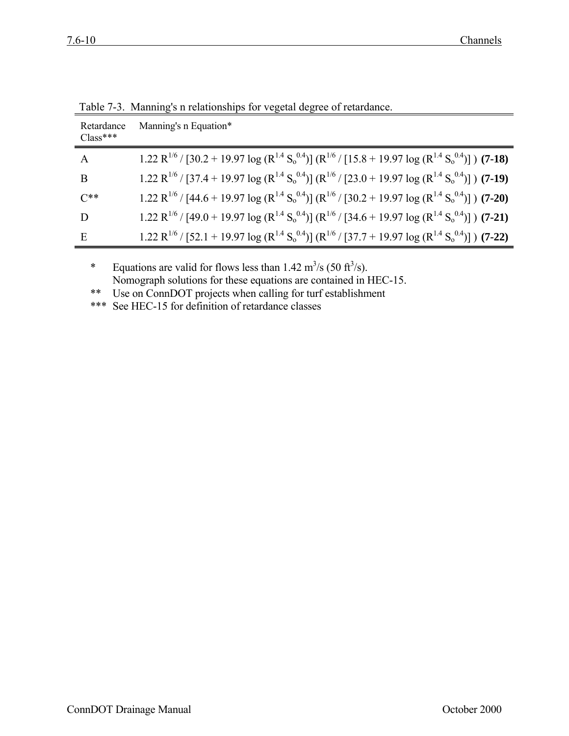| Retardance<br>$Class***$ | Manning's n Equation*                                                                                                                                                                                  |
|--------------------------|--------------------------------------------------------------------------------------------------------------------------------------------------------------------------------------------------------|
| A                        | 1.22 R <sup>1/6</sup> / [30.2 + 19.97 log (R <sup>1.4</sup> S <sub>0</sub> <sup>0.4</sup> )] (R <sup>1/6</sup> / [15.8 + 19.97 log (R <sup>1.4</sup> S <sub>0</sub> <sup>0.4</sup> )]) ( <b>7-18</b> ) |
| B                        | 1.22 R <sup>1/6</sup> / [37.4 + 19.97 log (R <sup>1.4</sup> S <sub>0</sub> <sup>0.4</sup> )] (R <sup>1/6</sup> / [23.0 + 19.97 log (R <sup>1.4</sup> S <sub>0</sub> <sup>0.4</sup> )]) ( <b>7-19</b> ) |
| $C^{**}$                 | 1.22 R <sup>1/6</sup> / [44.6 + 19.97 log (R <sup>1.4</sup> S <sub>0</sub> <sup>0.4</sup> )] (R <sup>1/6</sup> / [30.2 + 19.97 log (R <sup>1.4</sup> S <sub>0</sub> <sup>0.4</sup> )]) ( <b>7-20</b> ) |
| D                        | 1.22 R <sup>1/6</sup> / [49.0 + 19.97 log (R <sup>1.4</sup> S <sub>0</sub> <sup>0.4</sup> )] (R <sup>1/6</sup> / [34.6 + 19.97 log (R <sup>1.4</sup> S <sub>0</sub> <sup>0.4</sup> )]) ( <b>7-21</b> ) |
| Ε                        | 1.22 R <sup>1/6</sup> / [52.1 + 19.97 log (R <sup>1.4</sup> S <sub>0</sub> <sup>0.4</sup> )] (R <sup>1/6</sup> / [37.7 + 19.97 log (R <sup>1.4</sup> S <sub>0</sub> <sup>0.4</sup> )]) ( <b>7-22</b> ) |

Table 7-3. Manning's n relationships for vegetal degree of retardance.

\* Equations are valid for flows less than  $1.42 \text{ m}^3/\text{s}$  (50 ft<sup>3</sup>/s). Nomograph solutions for these equations are contained in HEC-15.

\*\* Use on ConnDOT projects when calling for turf establishment

\*\*\* See HEC-15 for definition of retardance classes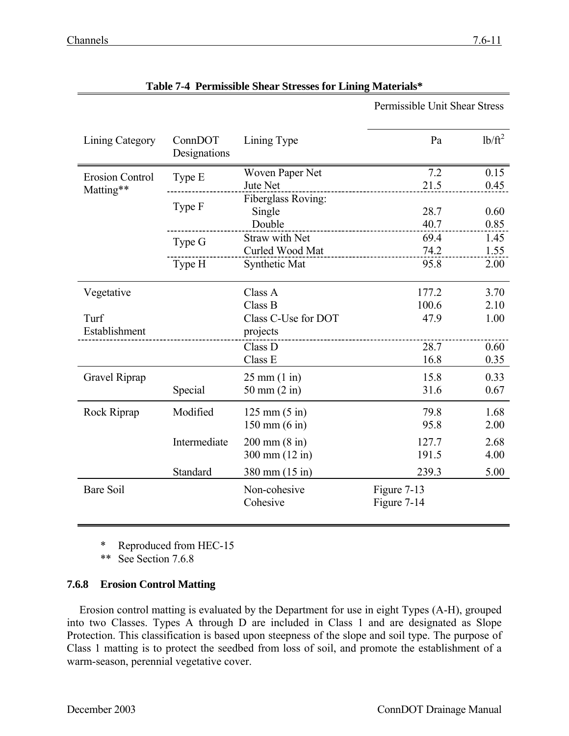| Lining Category        | ConnDOT<br>Designations | Lining Type                     | Pa                         | $lb/ft^2$ |
|------------------------|-------------------------|---------------------------------|----------------------------|-----------|
| <b>Erosion Control</b> | Type E                  | Woven Paper Net                 | 7.2                        | 0.15      |
| Matting**              |                         | Jute Net                        | 21.5                       | 0.45      |
|                        |                         | Fiberglass Roving:              |                            |           |
|                        | Type F                  | Single                          | 28.7                       | 0.60      |
|                        |                         | Double                          | 40.7                       | 0.85      |
|                        | Type G                  | <b>Straw with Net</b>           | 69.4                       | 1.45      |
|                        |                         | Curled Wood Mat                 | 74.2                       | 1.55      |
|                        | Type H                  | Synthetic Mat                   | 95.8                       | 2.00      |
| Vegetative             |                         | Class A                         | 177.2                      | 3.70      |
|                        |                         | Class B                         | 100.6                      | 2.10      |
| Turf                   |                         | Class C-Use for DOT             | 47.9                       | 1.00      |
| Establishment          |                         | projects                        |                            |           |
|                        |                         | Class D                         | 28.7                       | 0.60      |
|                        |                         | Class E                         | 16.8                       | 0.35      |
| Gravel Riprap          |                         | $25 \text{ mm} (1 \text{ in})$  | 15.8                       | 0.33      |
|                        | Special                 | 50 mm $(2 in)$                  | 31.6                       | 0.67      |
| Rock Riprap            | Modified                | $125 \text{ mm} (5 \text{ in})$ | 79.8                       | 1.68      |
|                        |                         | $150 \text{ mm} (6 \text{ in})$ | 95.8                       | 2.00      |
|                        | Intermediate            | $200 \text{ mm} (8 \text{ in})$ | 127.7                      | 2.68      |
|                        |                         | 300 mm (12 in)                  | 191.5                      | 4.00      |
|                        | Standard                | 380 mm (15 in)                  | 239.3                      | 5.00      |
| <b>Bare Soil</b>       |                         | Non-cohesive<br>Cohesive        | Figure 7-13<br>Figure 7-14 |           |

# **Table 7-4 Permissible Shear Stresses for Lining Materials\***

Permissible Unit Shear Stress

\* Reproduced from HEC-15

\*\* See Section 7.6.8

## **7.6.8 Erosion Control Matting**

Erosion control matting is evaluated by the Department for use in eight Types (A-H), grouped into two Classes. Types A through D are included in Class 1 and are designated as Slope Protection. This classification is based upon steepness of the slope and soil type. The purpose of Class 1 matting is to protect the seedbed from loss of soil, and promote the establishment of a warm-season, perennial vegetative cover.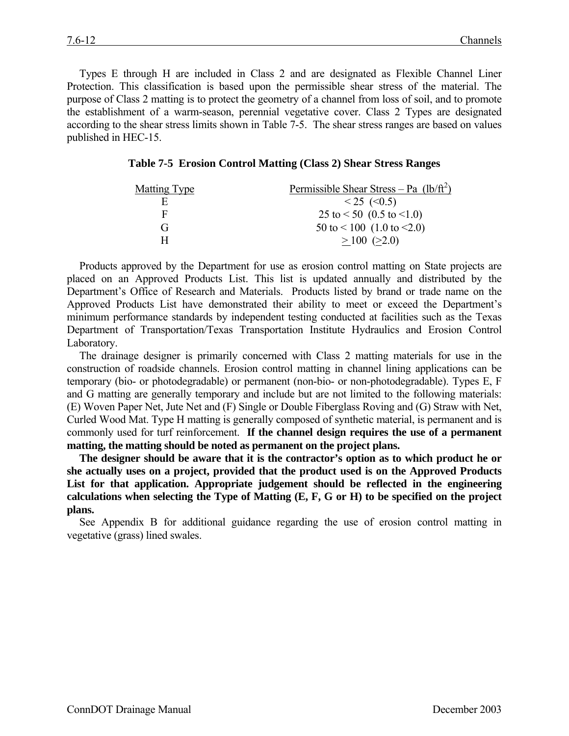Types E through H are included in Class 2 and are designated as Flexible Channel Liner Protection. This classification is based upon the permissible shear stress of the material. The purpose of Class 2 matting is to protect the geometry of a channel from loss of soil, and to promote the establishment of a warm-season, perennial vegetative cover. Class 2 Types are designated according to the shear stress limits shown in Table 7-5. The shear stress ranges are based on values published in HEC-15.

|  |  | Table 7-5 Erosion Control Matting (Class 2) Shear Stress Ranges |  |  |  |
|--|--|-----------------------------------------------------------------|--|--|--|
|--|--|-----------------------------------------------------------------|--|--|--|

| Matting Type | <u>Permissible Shear Stress</u> – Pa $(lb/ft^2)$ |
|--------------|--------------------------------------------------|
| F            | $< 25$ ( $< 0.5$ )                               |
| F            | 25 to $\leq$ 50 (0.5 to $\leq$ 1.0)              |
| (÷           | $50$ to $\leq 100$ (1.0 to $\leq 2.0$ )          |
| н            | $>100$ ( $>2.0$ )                                |

Products approved by the Department for use as erosion control matting on State projects are placed on an Approved Products List. This list is updated annually and distributed by the Department's Office of Research and Materials. Products listed by brand or trade name on the Approved Products List have demonstrated their ability to meet or exceed the Department's minimum performance standards by independent testing conducted at facilities such as the Texas Department of Transportation/Texas Transportation Institute Hydraulics and Erosion Control Laboratory.

The drainage designer is primarily concerned with Class 2 matting materials for use in the construction of roadside channels. Erosion control matting in channel lining applications can be temporary (bio- or photodegradable) or permanent (non-bio- or non-photodegradable). Types E, F and G matting are generally temporary and include but are not limited to the following materials: (E) Woven Paper Net, Jute Net and (F) Single or Double Fiberglass Roving and (G) Straw with Net, Curled Wood Mat. Type H matting is generally composed of synthetic material, is permanent and is commonly used for turf reinforcement. **If the channel design requires the use of a permanent matting, the matting should be noted as permanent on the project plans.**

**The designer should be aware that it is the contractor's option as to which product he or she actually uses on a project, provided that the product used is on the Approved Products List for that application. Appropriate judgement should be reflected in the engineering calculations when selecting the Type of Matting (E, F, G or H) to be specified on the project plans.**

See Appendix B for additional guidance regarding the use of erosion control matting in vegetative (grass) lined swales.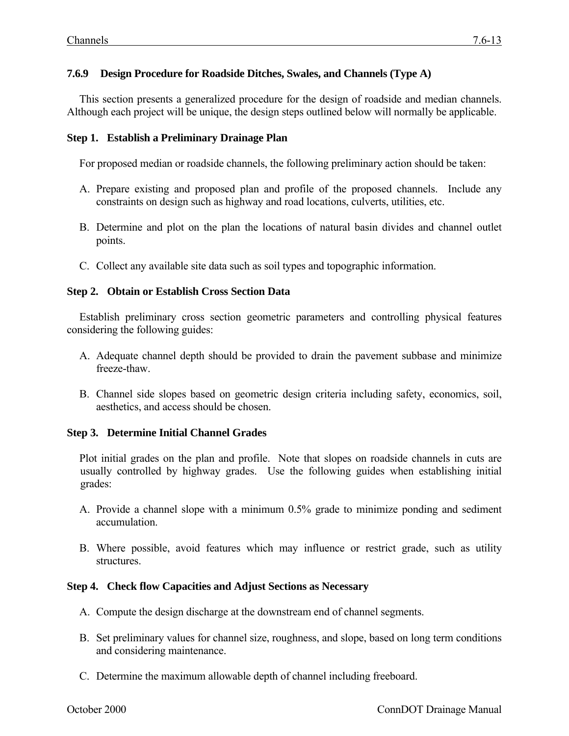## **7.6.9 Design Procedure for Roadside Ditches, Swales, and Channels (Type A)**

This section presents a generalized procedure for the design of roadside and median channels. Although each project will be unique, the design steps outlined below will normally be applicable.

#### **Step 1. Establish a Preliminary Drainage Plan**

For proposed median or roadside channels, the following preliminary action should be taken:

- A. Prepare existing and proposed plan and profile of the proposed channels. Include any constraints on design such as highway and road locations, culverts, utilities, etc.
- B. Determine and plot on the plan the locations of natural basin divides and channel outlet points.
- C. Collect any available site data such as soil types and topographic information.

#### **Step 2. Obtain or Establish Cross Section Data**

Establish preliminary cross section geometric parameters and controlling physical features considering the following guides:

- A. Adequate channel depth should be provided to drain the pavement subbase and minimize freeze-thaw.
- B. Channel side slopes based on geometric design criteria including safety, economics, soil, aesthetics, and access should be chosen.

#### **Step 3. Determine Initial Channel Grades**

Plot initial grades on the plan and profile. Note that slopes on roadside channels in cuts are usually controlled by highway grades. Use the following guides when establishing initial grades:

- A. Provide a channel slope with a minimum 0.5% grade to minimize ponding and sediment accumulation.
- B. Where possible, avoid features which may influence or restrict grade, such as utility structures.

#### **Step 4. Check flow Capacities and Adjust Sections as Necessary**

- A. Compute the design discharge at the downstream end of channel segments.
- B. Set preliminary values for channel size, roughness, and slope, based on long term conditions and considering maintenance.
- C. Determine the maximum allowable depth of channel including freeboard.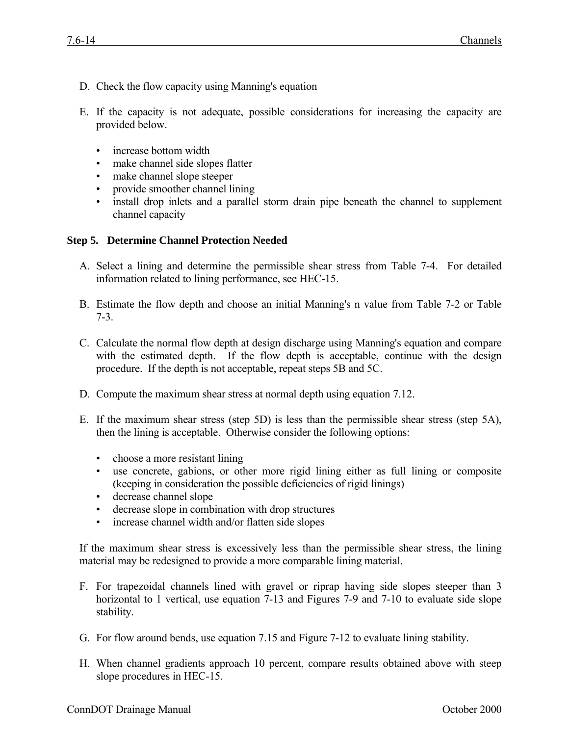- D. Check the flow capacity using Manning's equation
- E. If the capacity is not adequate, possible considerations for increasing the capacity are provided below.
	- increase bottom width
	- make channel side slopes flatter
	- make channel slope steeper
	- provide smoother channel lining
	- install drop inlets and a parallel storm drain pipe beneath the channel to supplement channel capacity

## **Step 5. Determine Channel Protection Needed**

- A. Select a lining and determine the permissible shear stress from Table 7-4. For detailed information related to lining performance, see HEC-15.
- B. Estimate the flow depth and choose an initial Manning's n value from Table 7-2 or Table 7-3.
- C. Calculate the normal flow depth at design discharge using Manning's equation and compare with the estimated depth. If the flow depth is acceptable, continue with the design procedure. If the depth is not acceptable, repeat steps 5B and 5C.
- D. Compute the maximum shear stress at normal depth using equation 7.12.
- E. If the maximum shear stress (step 5D) is less than the permissible shear stress (step 5A), then the lining is acceptable. Otherwise consider the following options:
	- choose a more resistant lining
	- use concrete, gabions, or other more rigid lining either as full lining or composite (keeping in consideration the possible deficiencies of rigid linings)
	- decrease channel slope
	- decrease slope in combination with drop structures
	- increase channel width and/or flatten side slopes

If the maximum shear stress is excessively less than the permissible shear stress, the lining material may be redesigned to provide a more comparable lining material.

- F. For trapezoidal channels lined with gravel or riprap having side slopes steeper than 3 horizontal to 1 vertical, use equation 7-13 and Figures 7-9 and 7-10 to evaluate side slope stability.
- G. For flow around bends, use equation 7.15 and Figure 7-12 to evaluate lining stability.
- H. When channel gradients approach 10 percent, compare results obtained above with steep slope procedures in HEC-15.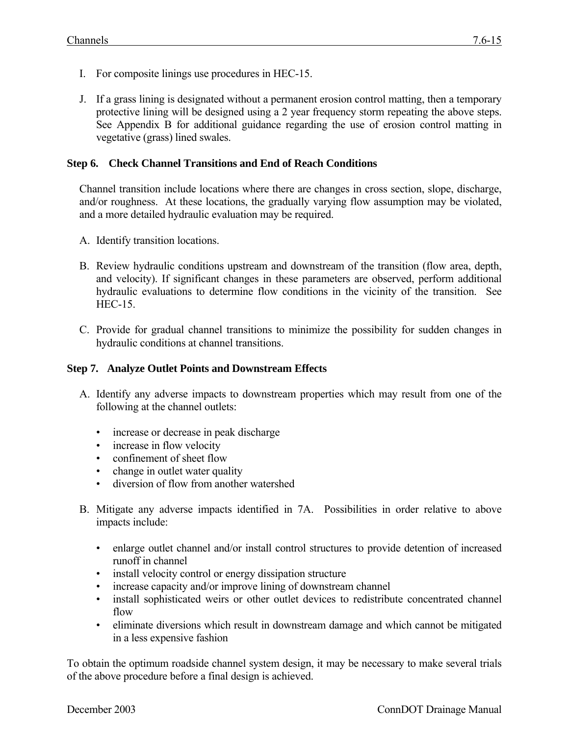- I. For composite linings use procedures in HEC-15.
- J. If a grass lining is designated without a permanent erosion control matting, then a temporary protective lining will be designed using a 2 year frequency storm repeating the above steps. See Appendix B for additional guidance regarding the use of erosion control matting in vegetative (grass) lined swales.

#### **Step 6. Check Channel Transitions and End of Reach Conditions**

Channel transition include locations where there are changes in cross section, slope, discharge, and/or roughness. At these locations, the gradually varying flow assumption may be violated, and a more detailed hydraulic evaluation may be required.

- A. Identify transition locations.
- B. Review hydraulic conditions upstream and downstream of the transition (flow area, depth, and velocity). If significant changes in these parameters are observed, perform additional hydraulic evaluations to determine flow conditions in the vicinity of the transition. See HEC-15.
- C. Provide for gradual channel transitions to minimize the possibility for sudden changes in hydraulic conditions at channel transitions.

#### **Step 7. Analyze Outlet Points and Downstream Effects**

- A. Identify any adverse impacts to downstream properties which may result from one of the following at the channel outlets:
	- increase or decrease in peak discharge
	- increase in flow velocity
	- confinement of sheet flow
	- change in outlet water quality
	- diversion of flow from another watershed
- B. Mitigate any adverse impacts identified in 7A. Possibilities in order relative to above impacts include:
	- enlarge outlet channel and/or install control structures to provide detention of increased runoff in channel
	- install velocity control or energy dissipation structure
	- increase capacity and/or improve lining of downstream channel
	- install sophisticated weirs or other outlet devices to redistribute concentrated channel flow
	- eliminate diversions which result in downstream damage and which cannot be mitigated in a less expensive fashion

To obtain the optimum roadside channel system design, it may be necessary to make several trials of the above procedure before a final design is achieved.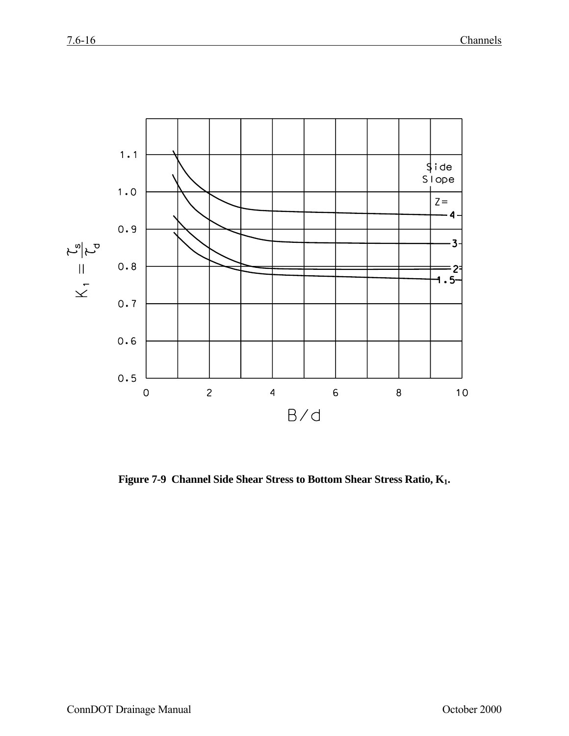

**Figure 7-9 Channel Side Shear Stress to Bottom Shear Stress Ratio, K1.**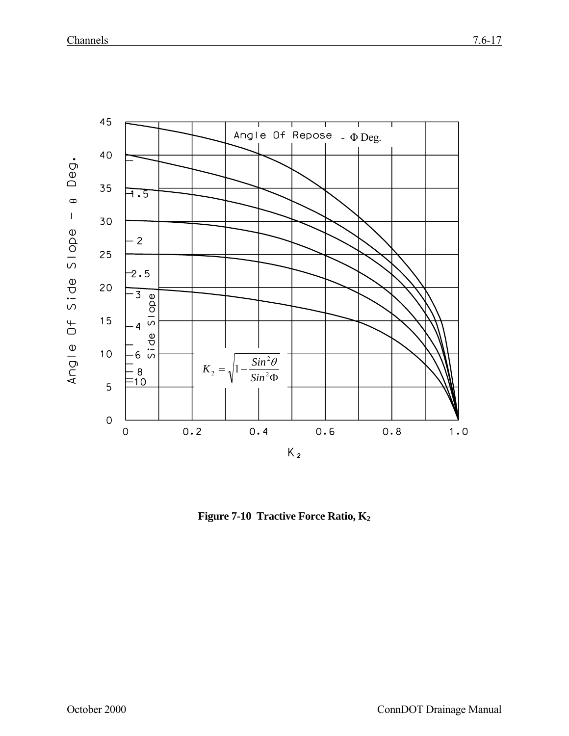

**Figure 7-10 Tractive Force Ratio, K2**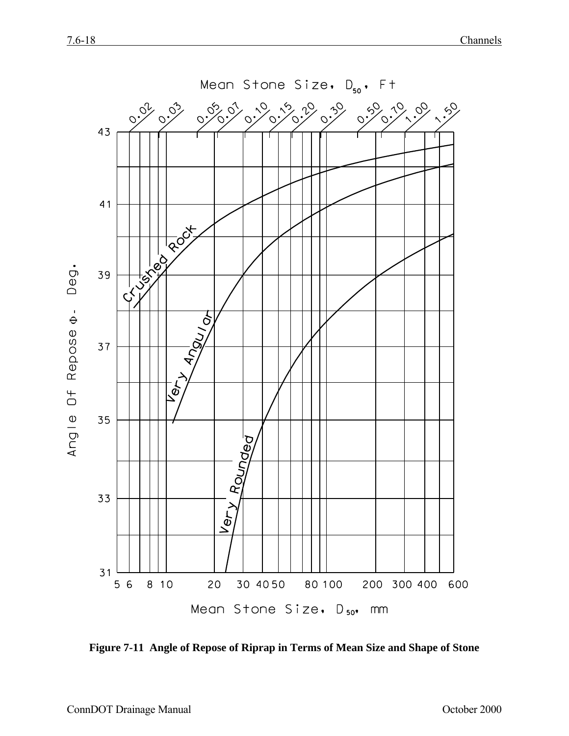

**Figure 7-11 Angle of Repose of Riprap in Terms of Mean Size and Shape of Stone**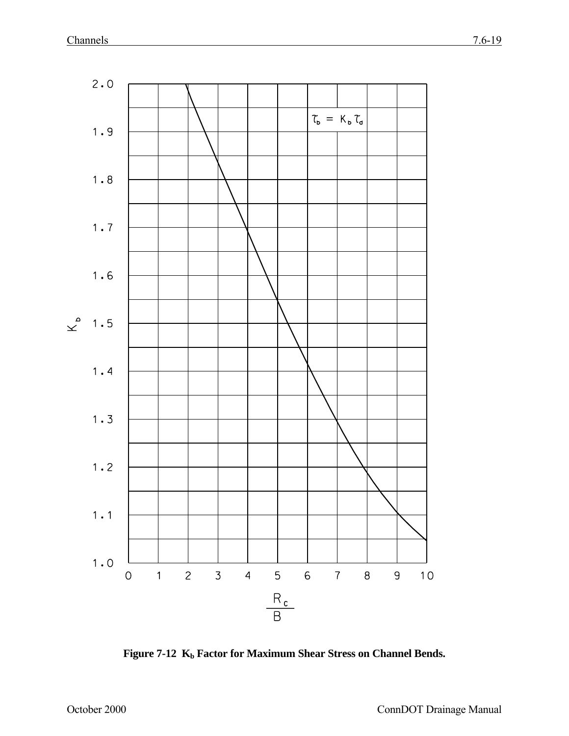

Figure 7-12 K<sub>b</sub> Factor for Maximum Shear Stress on Channel Bends.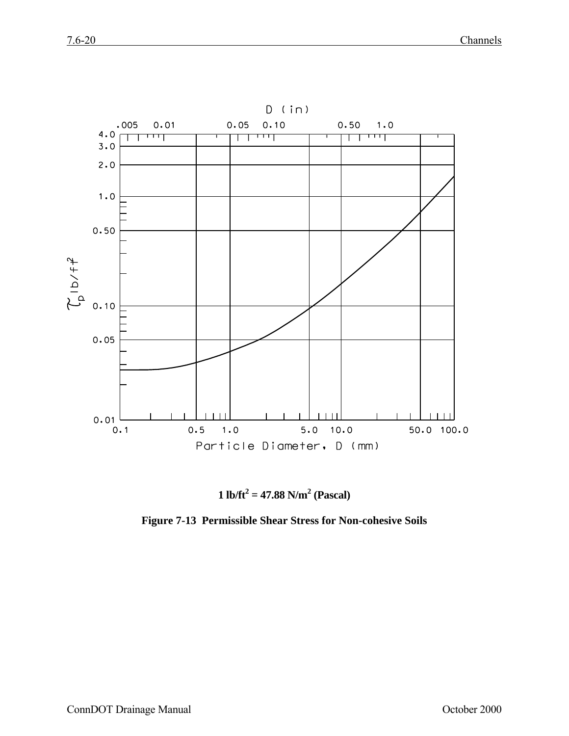

**1** lb/ft<sup>2</sup> = 47.88 N/m<sup>2</sup> (Pascal)

**Figure 7-13 Permissible Shear Stress for Non-cohesive Soils**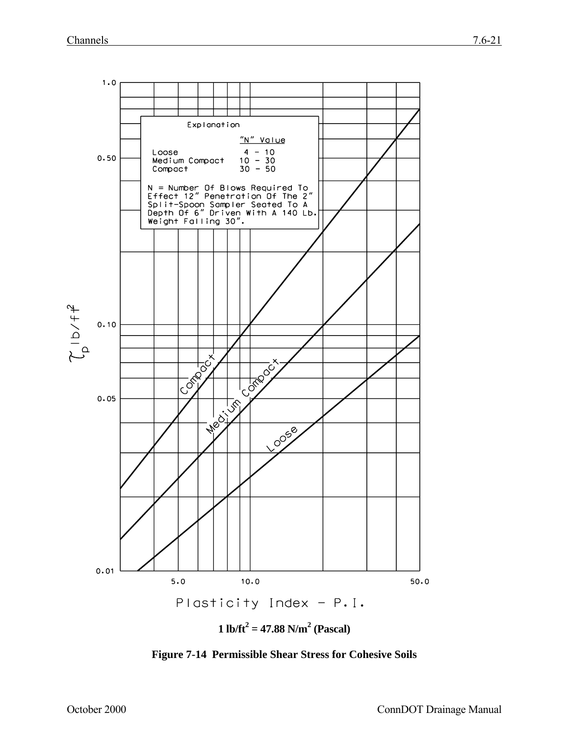

**Figure 7-14 Permissible Shear Stress for Cohesive Soils**